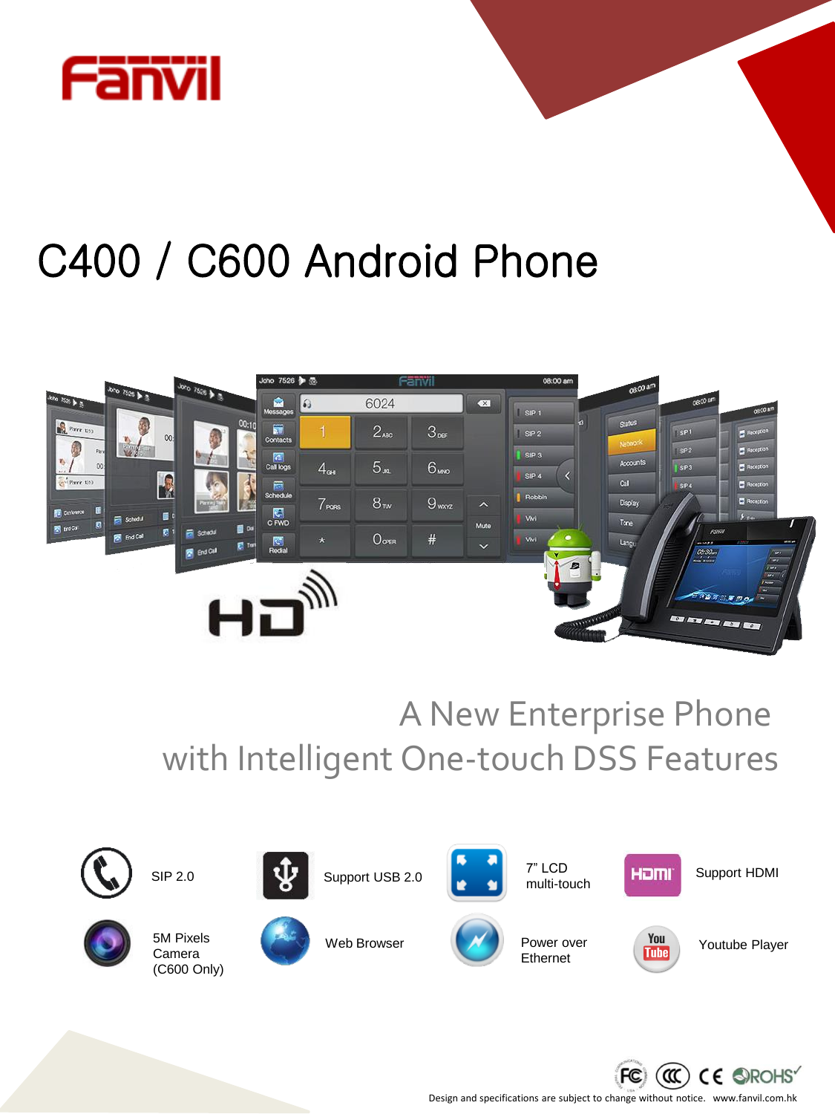

# C400 / C600 Android Phone



A New Enterprise Phone with Intelligent One-touch DSS Features





5M Pixels Camera

SIP 2.0



Web Browser



Power over Ethernet

Support USB 2.0  $\begin{bmatrix} 1 & 7 \end{bmatrix}$  LCD **Homi** Support HDMI

7" LCD multi-touch



**Tube** 

Youtube Player



Design and specifications are subject to change without notice. www.fanvil.com.hk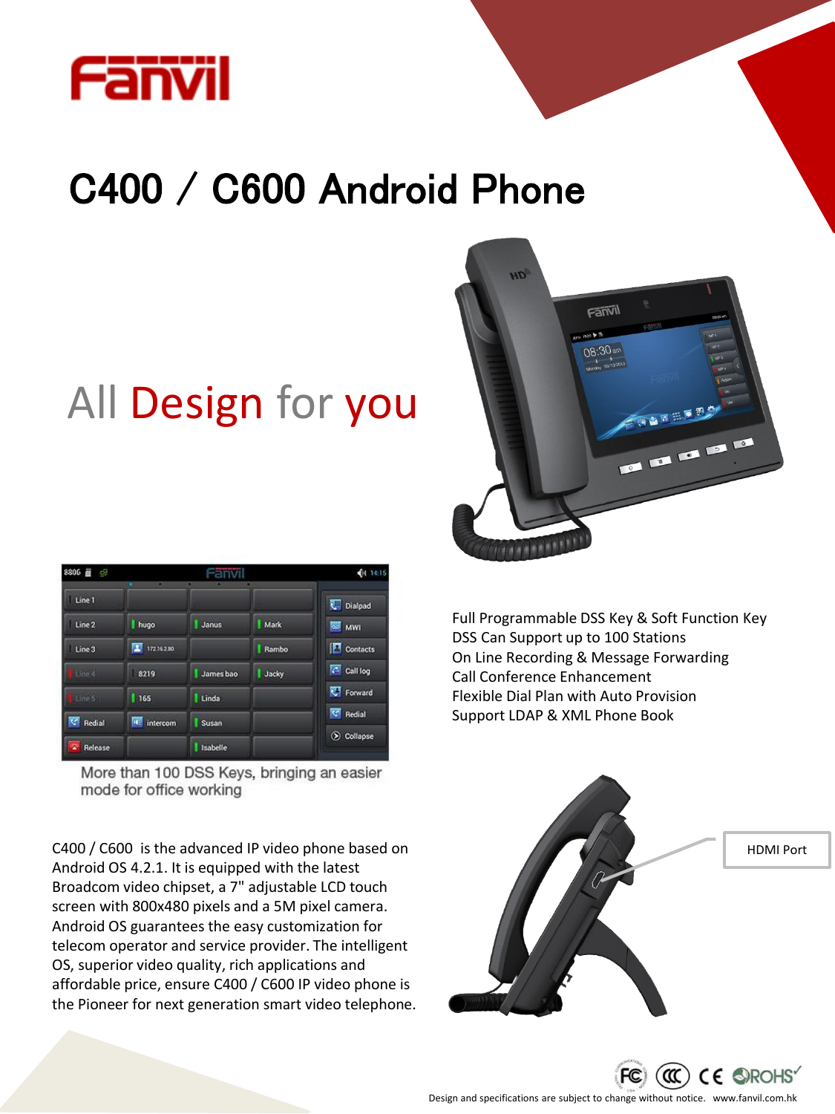

# C400 / C600 Android Phone

# All Design for you

| 8806 量<br>d,    | -             |           |       | 414.1415          |
|-----------------|---------------|-----------|-------|-------------------|
| Line 1          |               |           |       | Dialpad           |
| Line 2          | I hugo        | Janus     | Mark  | <b>SI MWI</b>     |
| Line 3          | 厦<br>17216280 |           | Rambo | <b>P</b> Contacts |
| Line 4          | 8219          | James bao | Jacky | C Call log        |
| Line 5          | 1165          | Linda     |       | Forward           |
| <b>C</b> Redial | 雨<br>intercom | Susan     |       | Redial            |
| Release         |               | Isabelle  |       | Collapse          |

More than 100 DSS Keys, bringing an easier mode for office working

C400 / C600 is the advanced IP video phone based on Android OS 4.2.1. It is equipped with the latest Broadcom video chipset, a 7" adjustable LCD touch screen with 800x480 pixels and a 5M pixel camera. Android OS guarantees the easy customization for telecom operator and service provider. The intelligent OS, superior video quality, rich applications and affordable price, ensure C400 / C600 IP video phone is the Pioneer for next generation smart video telephone.



Full Programmable DSS Key & Soft Function Key DSS Can Support up to 100 Stations On Line Recording & Message Forwarding Call Conference Enhancement Flexible Dial Plan with Auto Provision Support LDAP & XML Phone Book





Design and specifications are subject to change without notice. www.fanvil.com.hk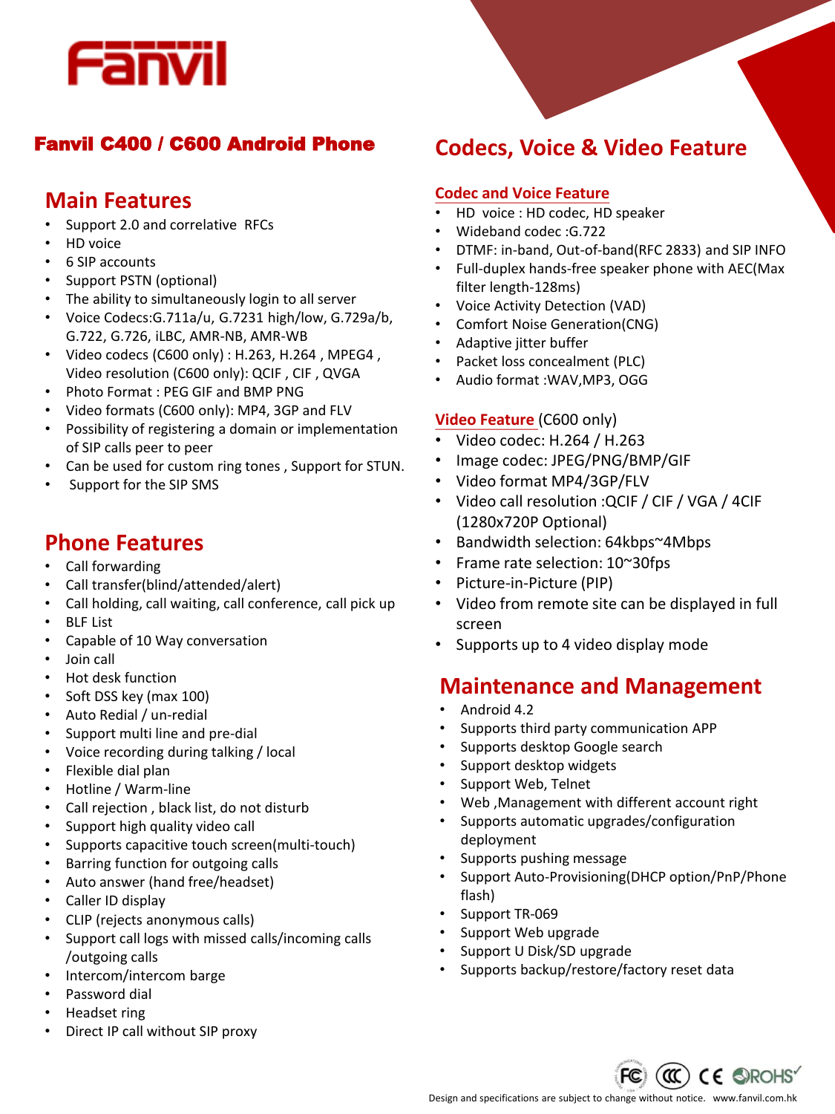

# **Main Features**

- Support 2.0 and correlative RFCs
- HD voice
- 6 SIP accounts
- Support PSTN (optional)
- The ability to simultaneously login to all server
- Voice Codecs:G.711a/u, G.7231 high/low, G.729a/b, G.722, G.726, iLBC, AMR-NB, AMR-WB
- Video codecs (C600 only) : H.263, H.264 , MPEG4 , Video resolution (C600 only): QCIF , CIF , QVGA
- Photo Format : PEG GIF and BMP PNG
- Video formats (C600 only): MP4, 3GP and FLV
- Possibility of registering a domain or implementation of SIP calls peer to peer
- Can be used for custom ring tones, Support for STUN.
- Support for the SIP SMS

# **Phone Features**

- Call forwarding
- Call transfer(blind/attended/alert)
- Call holding, call waiting, call conference, call pick up
- BLF List
- Capable of 10 Way conversation
- Join call
- Hot desk function
- Soft DSS key (max 100)
- Auto Redial / un-redial
- Support multi line and pre-dial
- Voice recording during talking / local
- Flexible dial plan
- Hotline / Warm-line
- Call rejection , black list, do not disturb
- Support high quality video call
- Supports capacitive touch screen(multi-touch)
- Barring function for outgoing calls
- Auto answer (hand free/headset)
- Caller ID display
- CLIP (rejects anonymous calls)
- Support call logs with missed calls/incoming calls /outgoing calls
- Intercom/intercom barge
- Password dial
- Headset ring
- Direct IP call without SIP proxy

# Fanvil C400 / C600 Android Phone **Codecs, Voice & Video Feature**

### **Codec and Voice Feature**

- HD voice : HD codec, HD speaker
- Wideband codec :G.722
- DTMF: in-band, Out-of-band(RFC 2833) and SIP INFO
- Full-duplex hands-free speaker phone with AEC(Max filter length-128ms)
- Voice Activity Detection (VAD)
- Comfort Noise Generation(CNG)
- Adaptive jitter buffer
- Packet loss concealment (PLC)
- Audio format :WAV,MP3, OGG

#### **Video Feature** (C600 only)

- Video codec: H.264 / H.263
- Image codec: JPEG/PNG/BMP/GIF
- Video format MP4/3GP/FLV
- Video call resolution :QCIF / CIF / VGA / 4CIF (1280x720P Optional)
- Bandwidth selection: 64kbps~4Mbps
- Frame rate selection: 10~30fps
- Picture-in-Picture (PIP)
- Video from remote site can be displayed in full screen
- Supports up to 4 video display mode

# **Maintenance and Management**

- Android 4.2
- Supports third party communication APP
- Supports desktop Google search
- Support desktop widgets
- Support Web, Telnet
- Web ,Management with different account right
- Supports automatic upgrades/configuration deployment
- Supports pushing message
- Support Auto-Provisioning(DHCP option/PnP/Phone flash)
- Support TR-069
- Support Web upgrade
- Support U Disk/SD upgrade
- Supports backup/restore/factory reset data